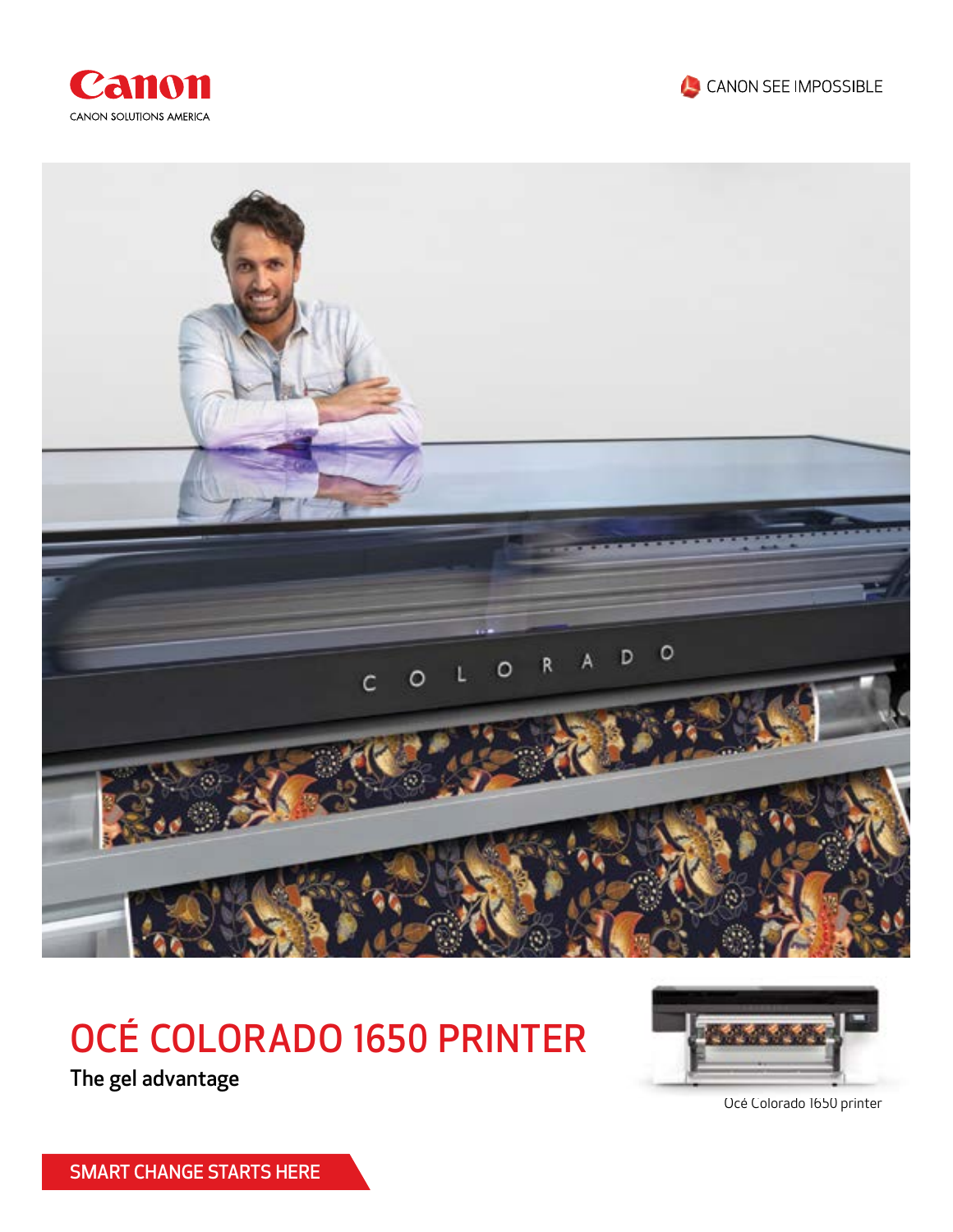





# OCÉ COLORADO 1650 PRINTER

The gel advantage



Océ Colorado 1650 printer

SMART CHANGE STARTS HERE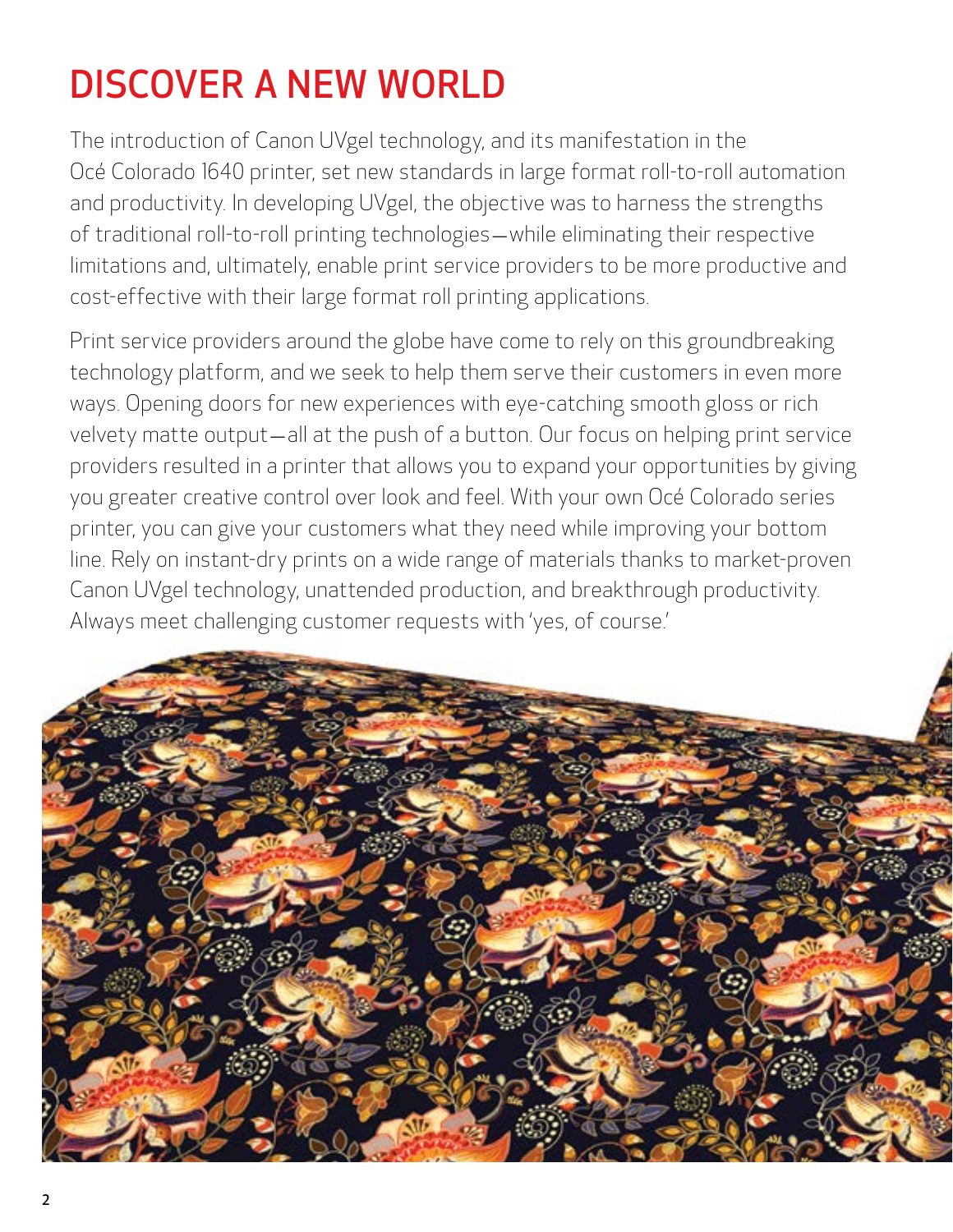# DISCOVER A NEW WORLD

The introduction of Canon UVgel technology, and its manifestation in the Océ Colorado 1640 printer, set new standards in large format roll-to-roll automation and productivity. In developing UVgel, the objective was to harness the strengths of traditional roll-to-roll printing technologies — while eliminating their respective limitations and, ultimately, enable print service providers to be more productive and cost-effective with their large format roll printing applications.

Print service providers around the globe have come to rely on this groundbreaking technology platform, and we seek to help them serve their customers in even more ways. Opening doors for new experiences with eye-catching smooth gloss or rich velvety matte output — all at the push of a button. Our focus on helping print service providers resulted in a printer that allows you to expand your opportunities by giving you greater creative control over look and feel. With your own Océ Colorado series printer, you can give your customers what they need while improving your bottom line. Rely on instant-dry prints on a wide range of materials thanks to market-proven Canon UVgel technology, unattended production, and breakthrough productivity. Always meet challenging customer requests with 'yes, of course.'

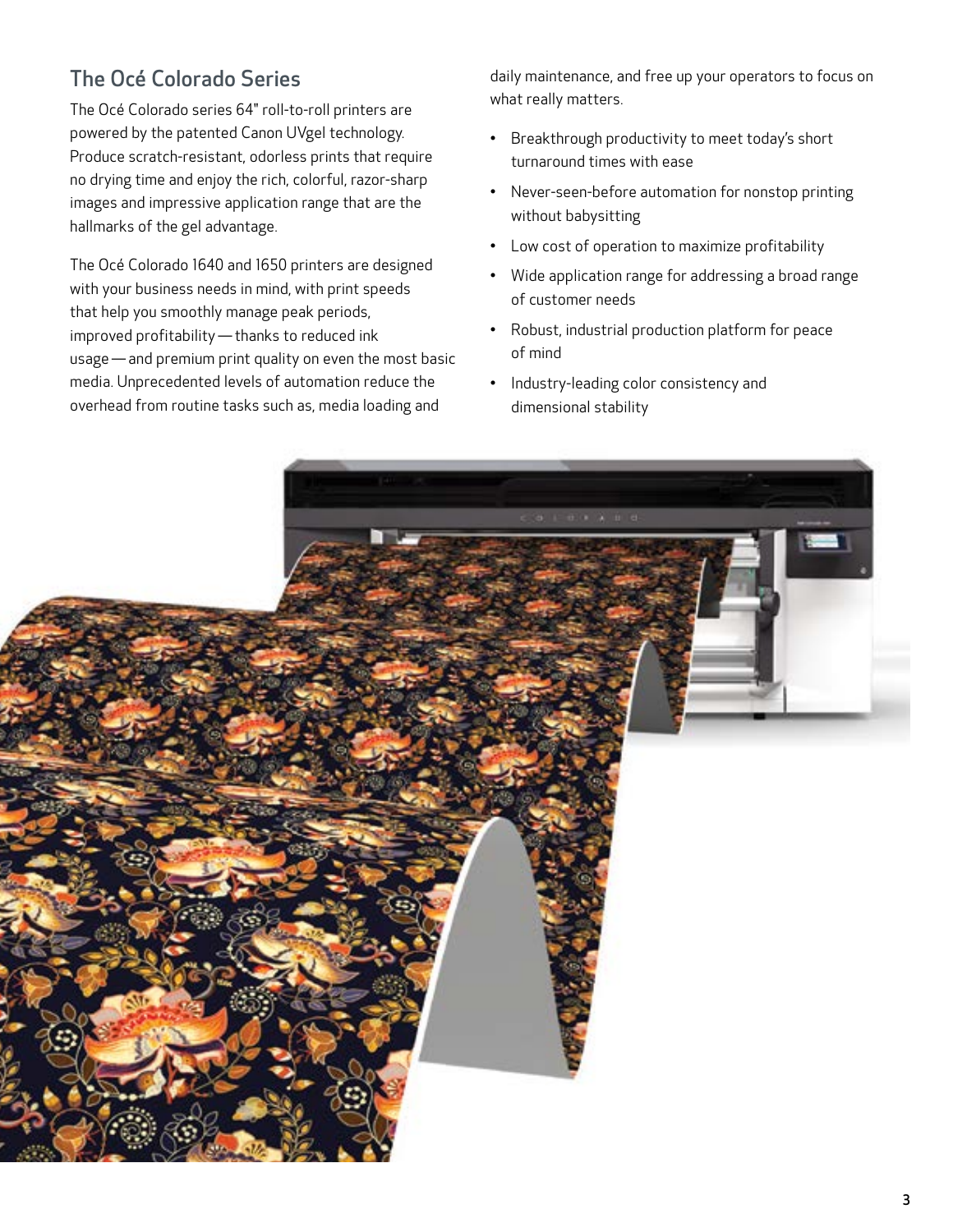## The Océ Colorado Series

The Océ Colorado series 64" roll-to-roll printers are powered by the patented Canon UVgel technology. Produce scratch-resistant, odorless prints that require no drying time and enjoy the rich, colorful, razor-sharp images and impressive application range that are the hallmarks of the gel advantage.

The Océ Colorado 1640 and 1650 printers are designed with your business needs in mind, with print speeds that help you smoothly manage peak periods, improved profitability — thanks to reduced ink usage — and premium print quality on even the most basic media. Unprecedented levels of automation reduce the overhead from routine tasks such as, media loading and

daily maintenance, and free up your operators to focus on what really matters.

- Breakthrough productivity to meet today's short turnaround times with ease
- Never-seen-before automation for nonstop printing without babysitting
- Low cost of operation to maximize profitability
- Wide application range for addressing a broad range of customer needs
- Robust, industrial production platform for peace of mind
- Industry-leading color consistency and dimensional stability

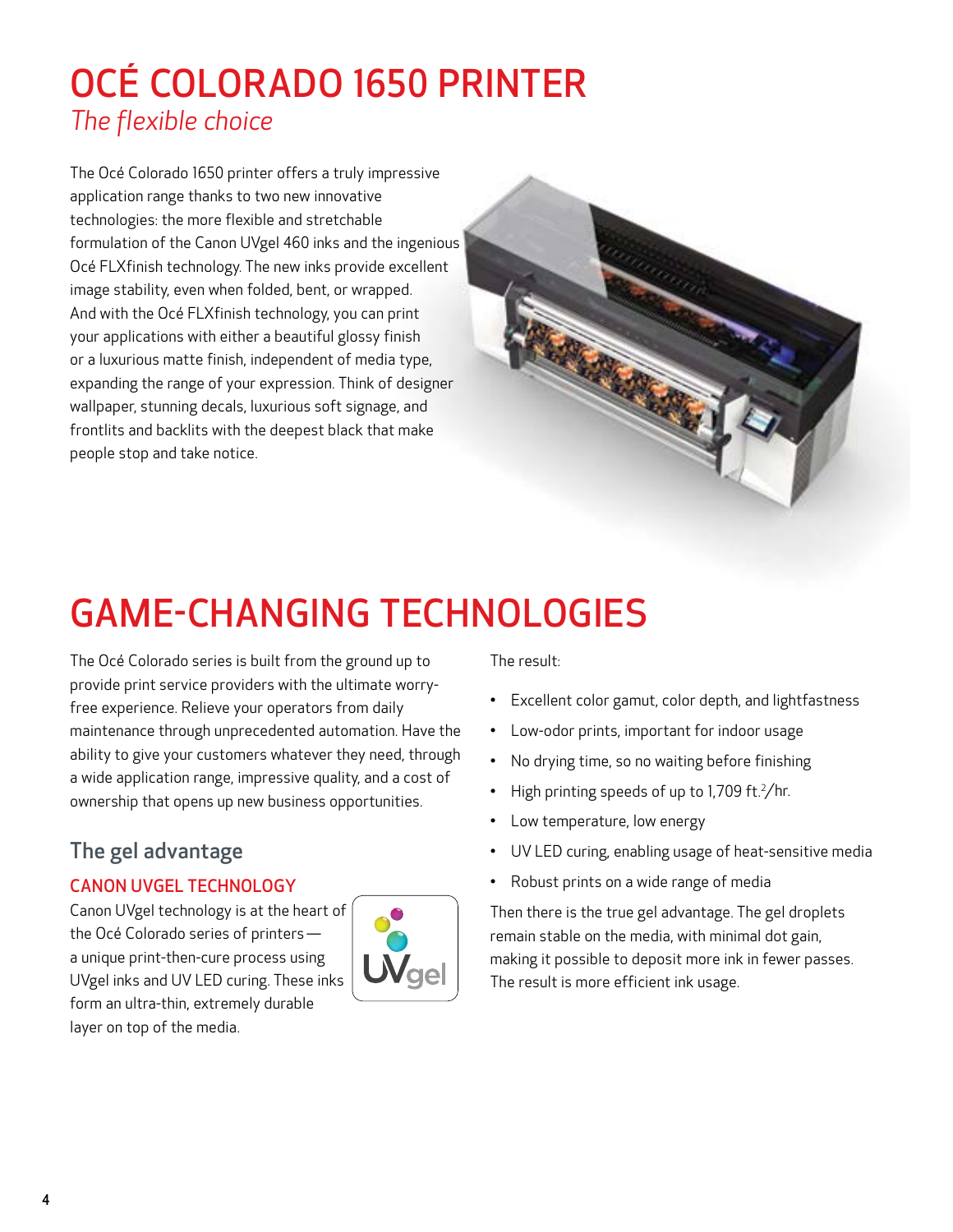## OCÉ COLORADO 1650 PRINTER *The flexible choice*

The Océ Colorado 1650 printer offers a truly impressive application range thanks to two new innovative technologies: the more flexible and stretchable formulation of the Canon UVgel 460 inks and the ingenious Océ FLXfinish technology. The new inks provide excellent image stability, even when folded, bent, or wrapped. And with the Océ FLXfinish technology, you can print your applications with either a beautiful glossy finish or a luxurious matte finish, independent of media type, expanding the range of your expression. Think of designer wallpaper, stunning decals, luxurious soft signage, and frontlits and backlits with the deepest black that make people stop and take notice.

# GAME-CHANGING TECHNOLOGIES

The Océ Colorado series is built from the ground up to provide print service providers with the ultimate worryfree experience. Relieve your operators from daily maintenance through unprecedented automation. Have the ability to give your customers whatever they need, through a wide application range, impressive quality, and a cost of ownership that opens up new business opportunities.

## The gel advantage

#### CANON UVGEL TECHNOLOGY

Canon UVgel technology is at the heart of the Océ Colorado series of printers   a unique print-then-cure process using UVgel inks and UV LED curing. These inks form an ultra-thin, extremely durable layer on top of the media.



The result:

- Excellent color gamut, color depth, and lightfastness
- Low-odor prints, important for indoor usage
- No drying time, so no waiting before finishing
- High printing speeds of up to 1,709 ft. $^2$ /hr.
- Low temperature, low energy
- UV LED curing, enabling usage of heat-sensitive media
- Robust prints on a wide range of media

Then there is the true gel advantage. The gel droplets remain stable on the media, with minimal dot gain, making it possible to deposit more ink in fewer passes. The result is more efficient ink usage.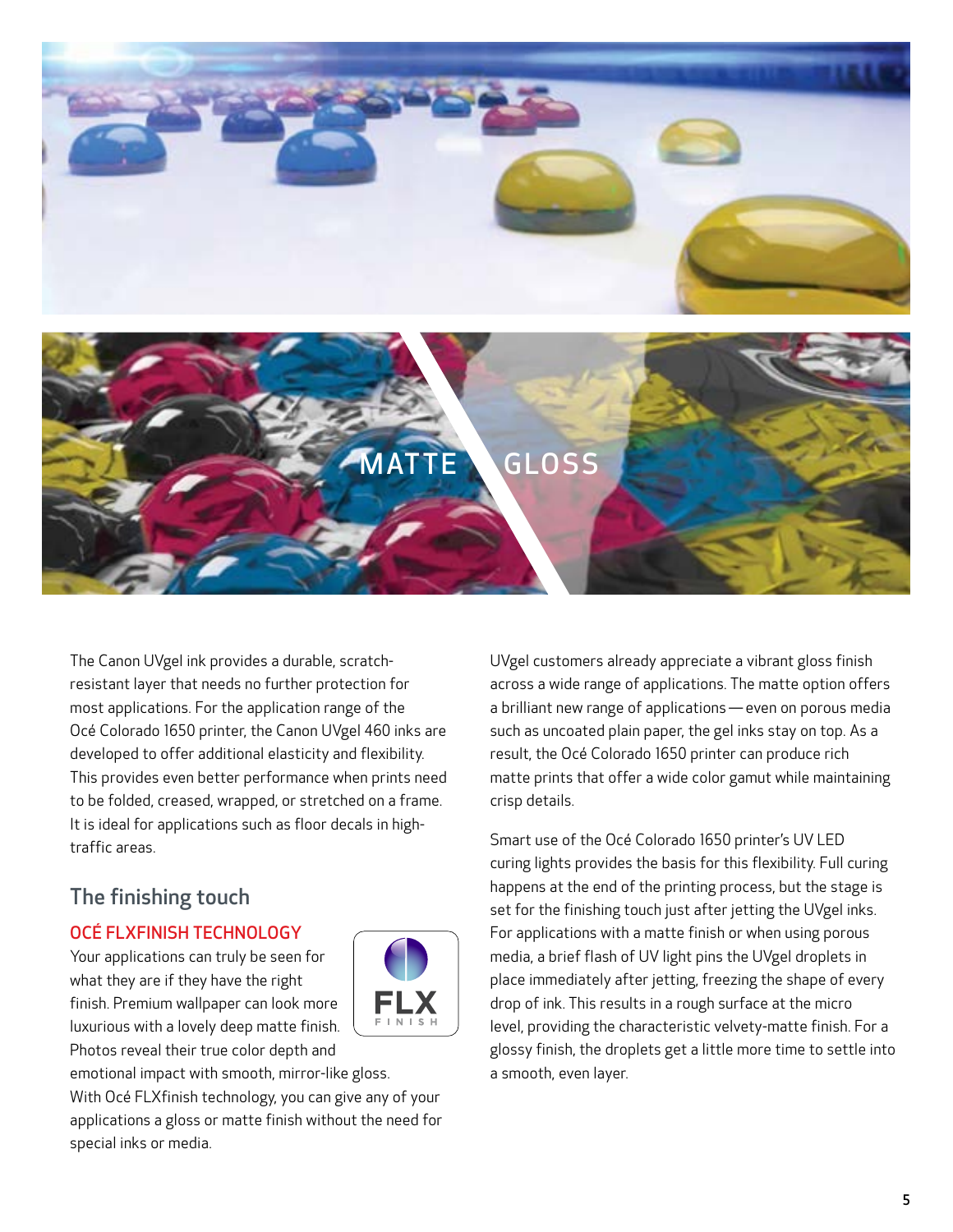



The Canon UVgel ink provides a durable, scratchresistant layer that needs no further protection for most applications. For the application range of the Océ Colorado 1650 printer, the Canon UVgel 460 inks are developed to offer additional elasticity and flexibility. This provides even better performance when prints need to be folded, creased, wrapped, or stretched on a frame. It is ideal for applications such as floor decals in hightraffic areas.

### The finishing touch

#### OCÉ FLXFINISH TECHNOLOGY

Your applications can truly be seen for what they are if they have the right finish. Premium wallpaper can look more luxurious with a lovely deep matte finish. Photos reveal their true color depth and



emotional impact with smooth, mirror-like gloss. With Océ FLXfinish technology, you can give any of your applications a gloss or matte finish without the need for special inks or media.

UVgel customers already appreciate a vibrant gloss finish across a wide range of applications. The matte option offers a brilliant new range of applications — even on porous media such as uncoated plain paper, the gel inks stay on top. As a result, the Océ Colorado 1650 printer can produce rich matte prints that offer a wide color gamut while maintaining crisp details.

Smart use of the Océ Colorado 1650 printer's UV LED curing lights provides the basis for this flexibility. Full curing happens at the end of the printing process, but the stage is set for the finishing touch just after jetting the UVgel inks. For applications with a matte finish or when using porous media, a brief flash of UV light pins the UVgel droplets in place immediately after jetting, freezing the shape of every drop of ink. This results in a rough surface at the micro level, providing the characteristic velvety-matte finish. For a glossy finish, the droplets get a little more time to settle into a smooth, even layer.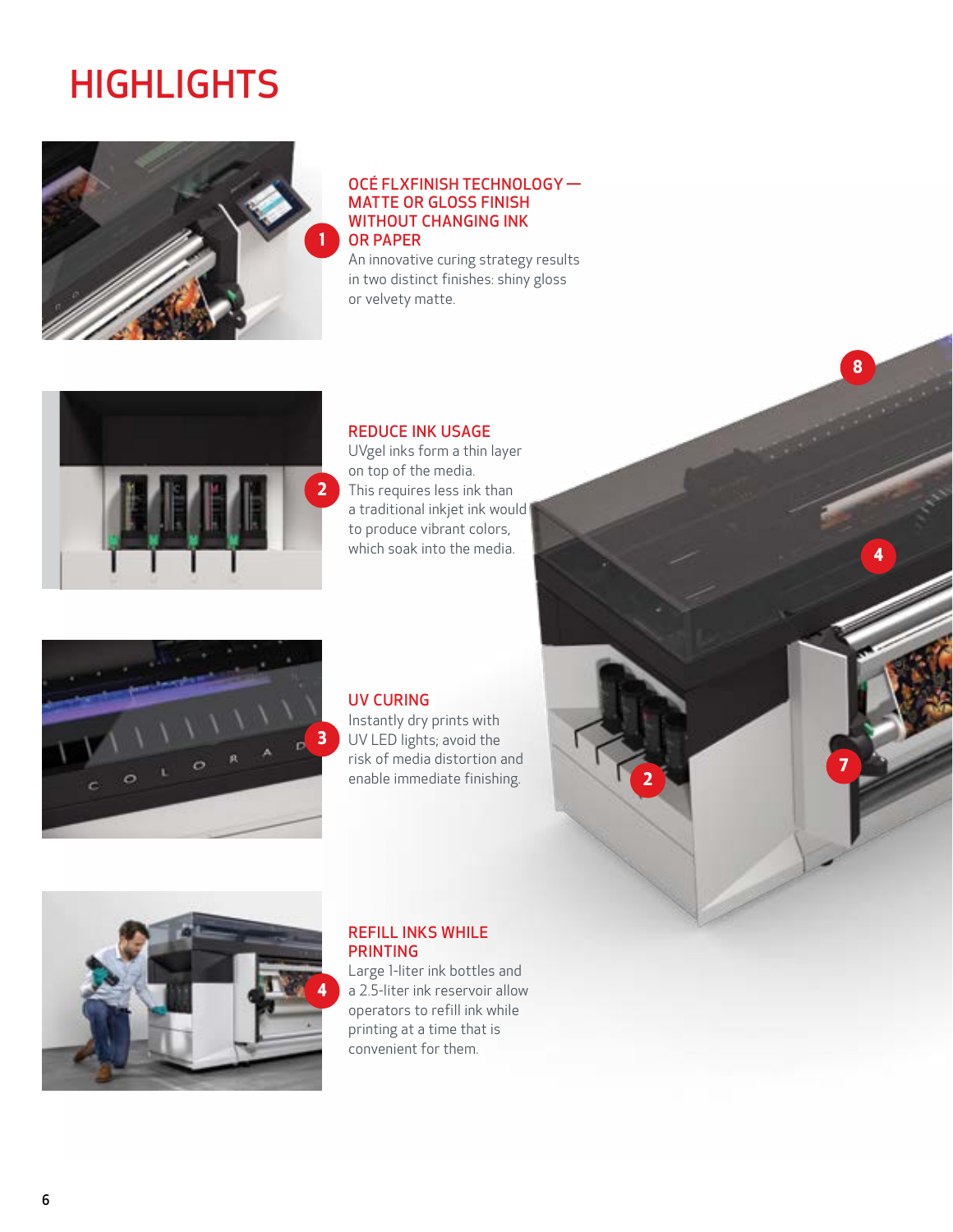## **HIGHLIGHTS**



#### OCÉ FLXFINISH TECHNOLOGY —  MATTE OR GLOSS FINISH WITHOUT CHANGING INK OR PAPER

An innovative curing strategy results in two distinct finishes: shiny gloss or velvety matte.



#### REDUCE INK USAGE

UVgel inks form a thin layer on top of the media. This requires less ink than a traditional inkjet ink would to produce vibrant colors, which soak into the media.



#### UV CURING

Instantly dry prints with UV LED lights; avoid the risk of media distortion and enable immediate finishing.

**2**

**4**

**8**

**7**



#### REFILL INKS WHILE PRINTING

Large 1-liter ink bottles and a 2.5-liter ink reservoir allow operators to refill ink while printing at a time that is convenient for them.

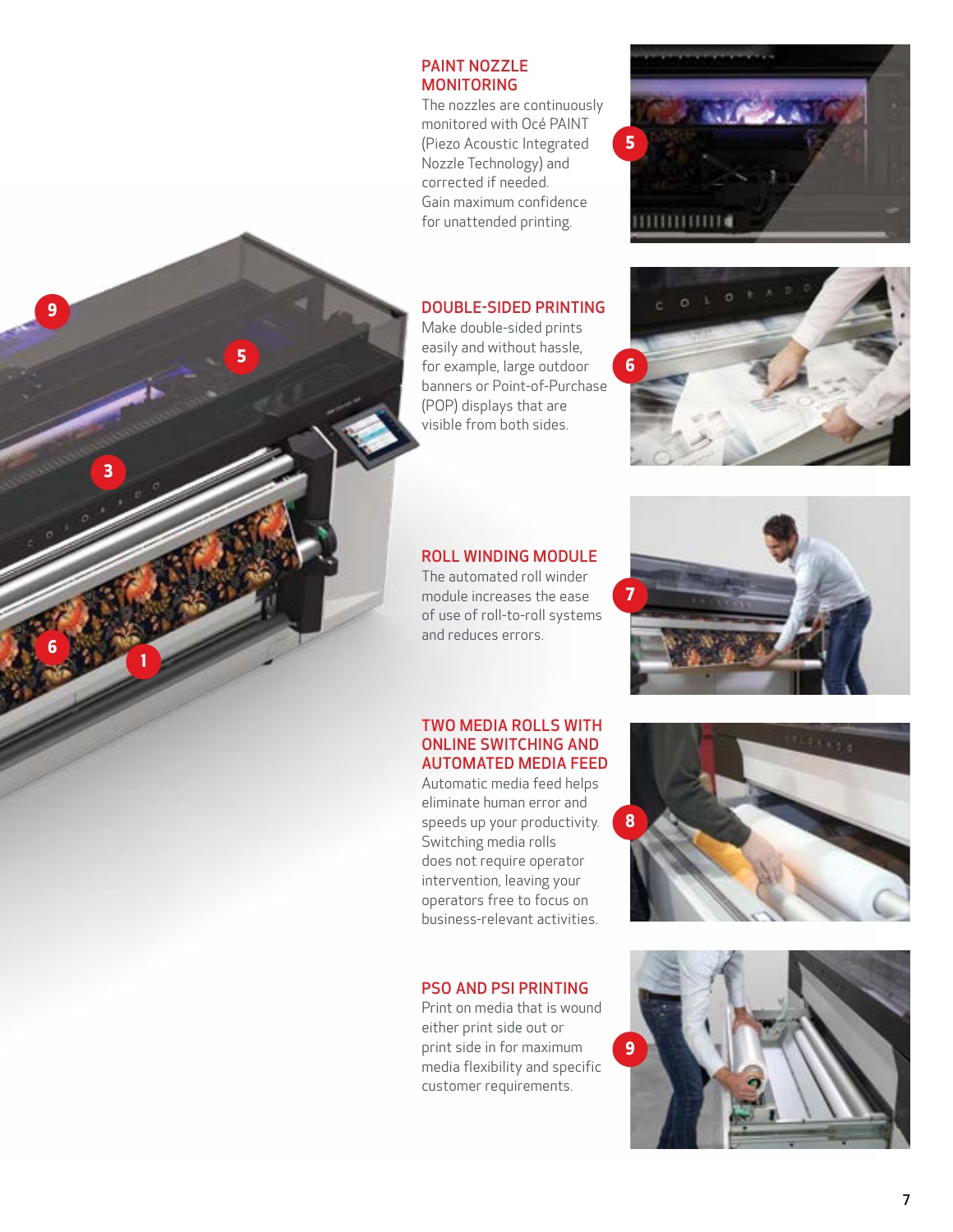#### PAINT NOZZLE MONITORING

The nozzles are continuously monitored with Océ PAINT (Piezo Acoustic Integrated Nozzle Technology) and corrected if needed. Gain maximum confidence for unattended printing.

#### DOUBLE-SIDED PRINTING

Make double-sided prints easily and without hassle, for example, large outdoor banners or Point-of-Purchase (POP) displays that are visible from both sides.

### ROLL WINDING MODULE

The automated roll winder module increases the ease of use of roll-to-roll systems and reduces errors.

**1**

**3**

**9**<br>6<br>6

9

**5**

#### TWO MEDIA ROLLS WITH ONLINE SWITCHING AND AUTOMATED MEDIA FEED

Automatic media feed helps eliminate human error and speeds up your productivity. Switching media rolls does not require operator intervention, leaving your operators free to focus on business-relevant activities.

#### PSO AND PSI PRINTING

Print on media that is wound either print side out or print side in for maximum media flexibility and specific customer requirements.









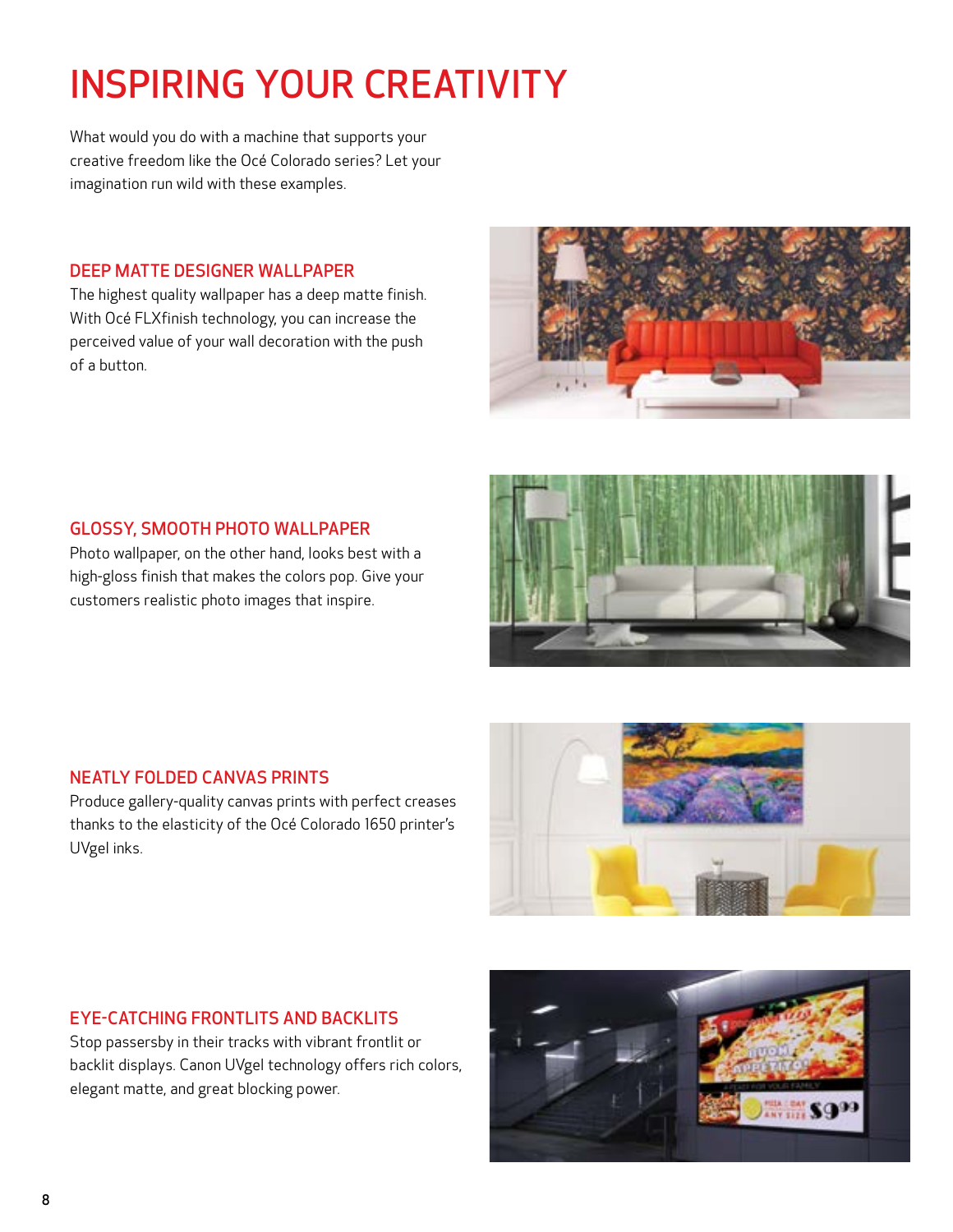## INSPIRING YOUR CREATIVITY

What would you do with a machine that supports your creative freedom like the Océ Colorado series? Let your imagination run wild with these examples.

#### DEEP MATTE DESIGNER WALLPAPER

The highest quality wallpaper has a deep matte finish. With Océ FLXfinish technology, you can increase the perceived value of your wall decoration with the push of a button.



#### GLOSSY, SMOOTH PHOTO WALLPAPER

Photo wallpaper, on the other hand, looks best with a high-gloss finish that makes the colors pop. Give your customers realistic photo images that inspire.



#### NEATLY FOLDED CANVAS PRINTS

Produce gallery-quality canvas prints with perfect creases thanks to the elasticity of the Océ Colorado 1650 printer's UVgel inks.



#### EYE-CATCHING FRONTLITS AND BACKLITS

Stop passersby in their tracks with vibrant frontlit or backlit displays. Canon UVgel technology offers rich colors, elegant matte, and great blocking power.

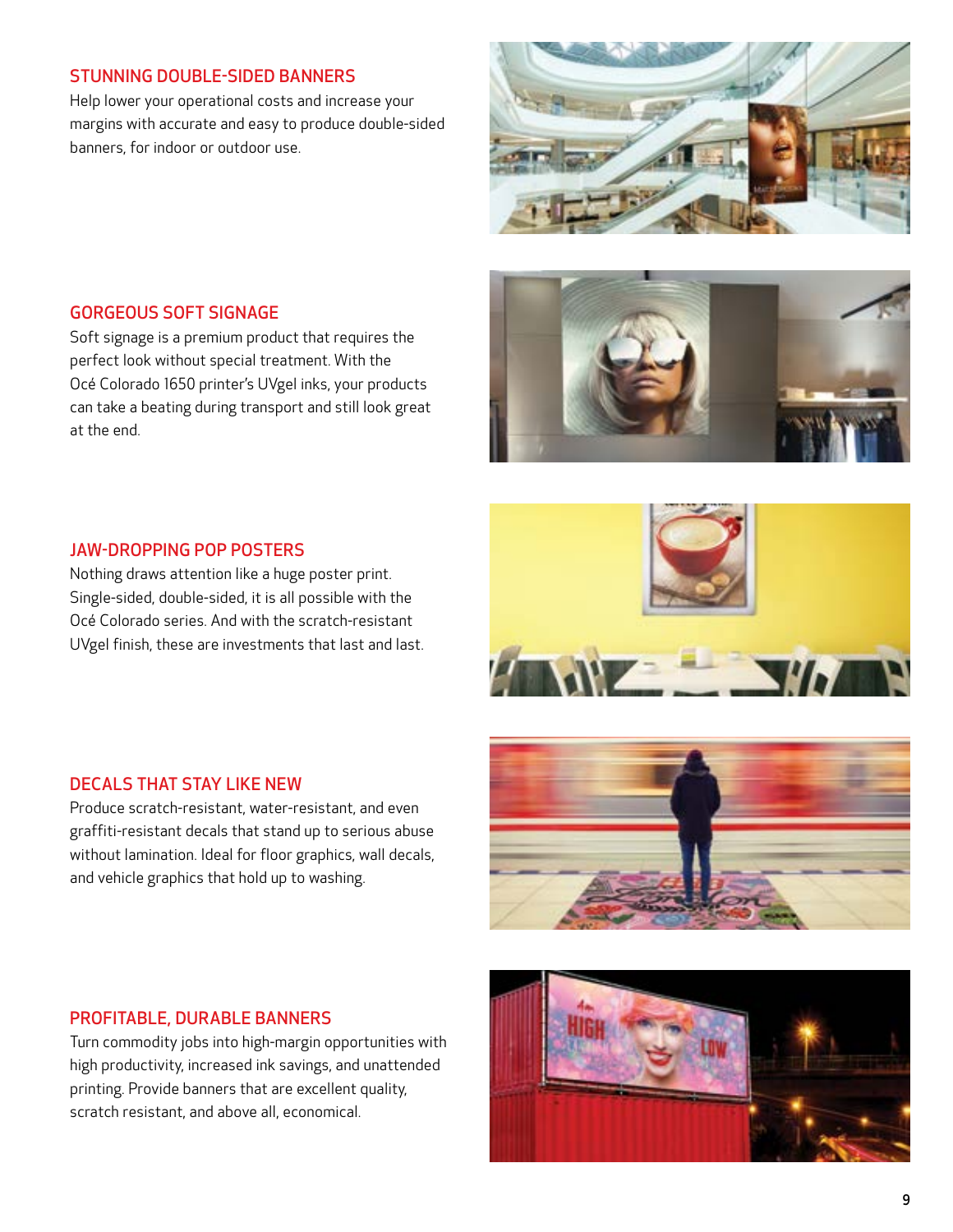#### STUNNING DOUBLE-SIDED BANNERS

Help lower your operational costs and increase your margins with accurate and easy to produce double-sided banners, for indoor or outdoor use.



#### GORGEOUS SOFT SIGNAGE

Soft signage is a premium product that requires the perfect look without special treatment. With the Océ Colorado 1650 printer's UVgel inks, your products can take a beating during transport and still look great at the end.



#### JAW-DROPPING POP POSTERS

Nothing draws attention like a huge poster print. Single-sided, double-sided, it is all possible with the Océ Colorado series. And with the scratch-resistant UVgel finish, these are investments that last and last.



#### DECALS THAT STAY LIKE NEW

Produce scratch-resistant, water-resistant, and even graffiti-resistant decals that stand up to serious abuse without lamination. Ideal for floor graphics, wall decals, and vehicle graphics that hold up to washing.



#### PROFITABLE, DURABLE BANNERS

Turn commodity jobs into high-margin opportunities with high productivity, increased ink savings, and unattended printing. Provide banners that are excellent quality, scratch resistant, and above all, economical.

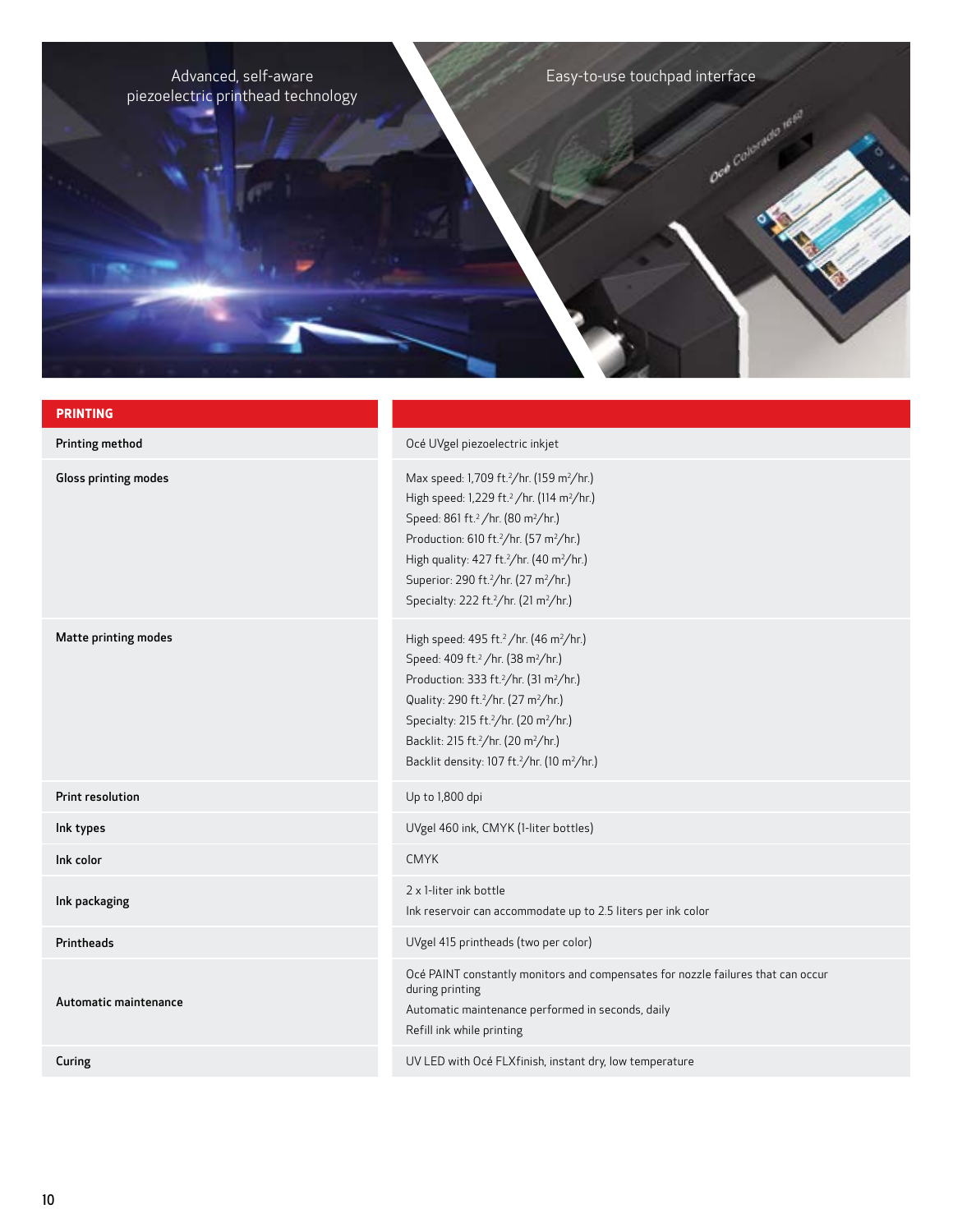Advanced, self-aware Easy-to-use touchpad interface piezoelectric printhead technology

**PRINTING** Printing method **Printing method** Océ UVgel piezoelectric inkjet Gloss printing modes /hr. (159 m²/hr.) High speed: 1,229 ft.<sup>2</sup> /hr. (114 m<sup>2</sup>/hr.) Speed: 861 ft.<sup>2</sup> /hr. (80 m<sup>2</sup>/hr.) Production: 610 ft.2 /hr. (57 m2 /hr.) High quality: 427 ft.2 /hr. (40 m2 /hr.) Superior: 290 ft.2 /hr. (27 m2 /hr.) Specialty: 222 ft.2 /hr. (21 m2 /hr.) Matte printing modes  $/$ hr. (46 m<sup>2</sup>/hr.) Speed: 409 ft.<sup>2</sup> /hr. (38 m<sup>2</sup>/hr.) Production: 333 ft.2 /hr. (31 m2 /hr.) Quality: 290 ft.<sup>2</sup>/hr. (27 m<sup>2</sup>/hr.) Specialty: 215 ft.2 /hr. (20 m2 /hr.) Backlit: 215 ft.2 /hr. (20 m2 /hr.) Backlit density: 107 ft.2 /hr. (10 m2 /hr.) **Print resolution** Up to 1,800 dpi Ink types UVgel 460 ink, CMYK (1-liter bottles) Ink color CMYK Ink packaging 2 x 1-liter ink bottle Ink reservoir can accommodate up to 2.5 liters per ink color Printheads UVgel 415 printheads (two per color) Océ PAINT constantly monitors and compensates for nozzle failures that can occur during printing

Automatic maintenance performed in seconds, daily

Refill ink while printing

Automatic maintenance

Curing Curing Curing Curing Curing Curing Curing Curing Curing Curing Curing Curing Curing Curing Curing Curing Curing Curing Curing Curing Curing Curing Curing Curing Curing Curing Curing Curing Curing Curing Curing Curin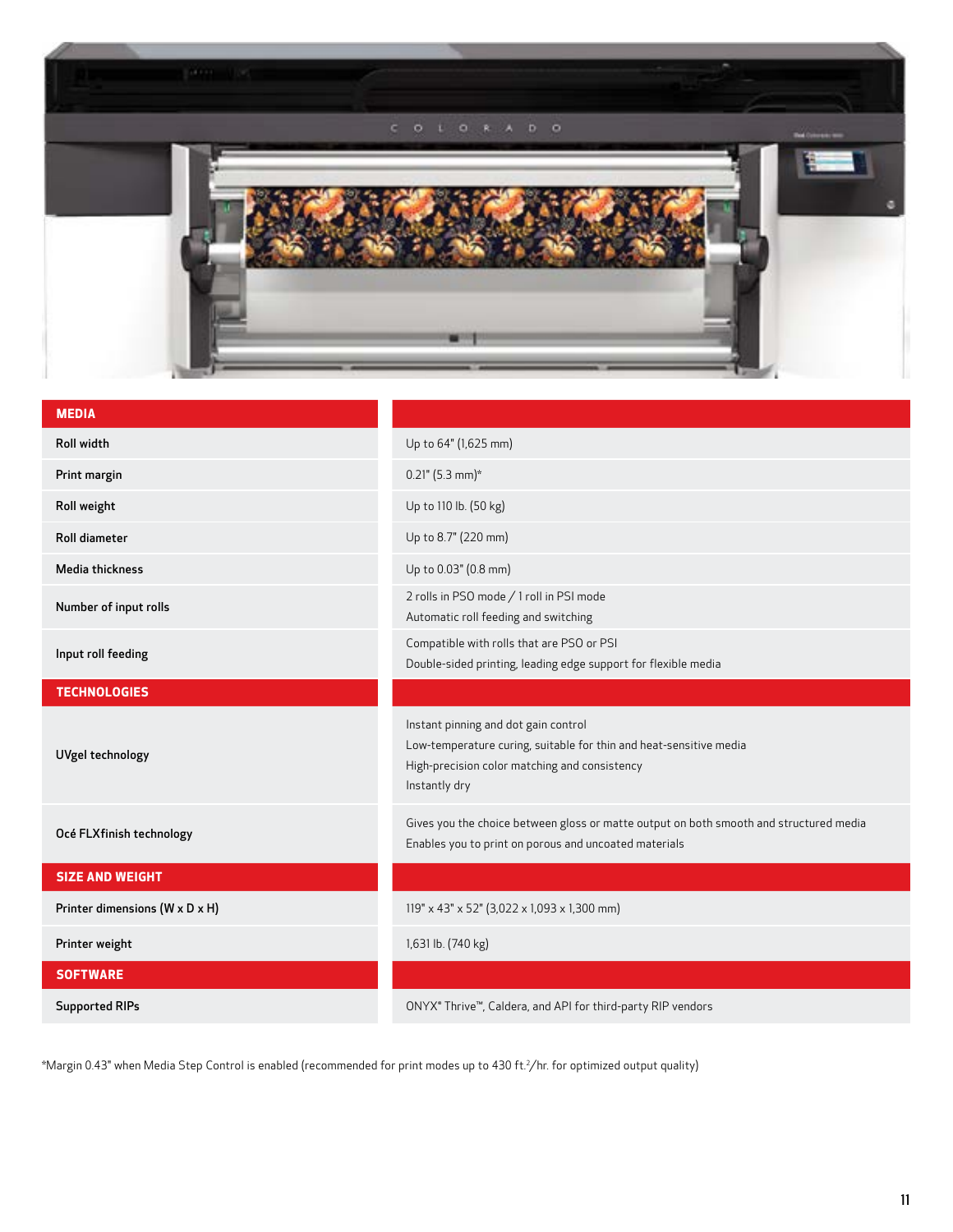

| <b>MEDIA</b>                   |                                                                                                                                                                              |
|--------------------------------|------------------------------------------------------------------------------------------------------------------------------------------------------------------------------|
| Roll width                     | Up to 64" (1,625 mm)                                                                                                                                                         |
| Print margin                   | $0.21$ " (5.3 mm)*                                                                                                                                                           |
| Roll weight                    | Up to 110 lb. (50 kg)                                                                                                                                                        |
| <b>Roll diameter</b>           | Up to 8.7" (220 mm)                                                                                                                                                          |
| Media thickness                | Up to 0.03" (0.8 mm)                                                                                                                                                         |
| Number of input rolls          | 2 rolls in PSO mode / 1 roll in PSI mode<br>Automatic roll feeding and switching                                                                                             |
| Input roll feeding             | Compatible with rolls that are PSO or PSI<br>Double-sided printing, leading edge support for flexible media                                                                  |
| <b>TECHNOLOGIES</b>            |                                                                                                                                                                              |
| UVgel technology               | Instant pinning and dot gain control<br>Low-temperature curing, suitable for thin and heat-sensitive media<br>High-precision color matching and consistency<br>Instantly dry |
| Océ FLXfinish technology       | Gives you the choice between gloss or matte output on both smooth and structured media<br>Enables you to print on porous and uncoated materials                              |
| <b>SIZE AND WEIGHT</b>         |                                                                                                                                                                              |
| Printer dimensions (W x D x H) | 119" x 43" x 52" (3,022 x 1,093 x 1,300 mm)                                                                                                                                  |
| Printer weight                 | 1,631 lb. (740 kg)                                                                                                                                                           |
| <b>SOFTWARE</b>                |                                                                                                                                                                              |
| <b>Supported RIPs</b>          | ONYX® Thrive™, Caldera, and API for third-party RIP vendors                                                                                                                  |

\*Margin 0.43" when Media Step Control is enabled (recommended for print modes up to 430 ft.2 /hr. for optimized output quality)